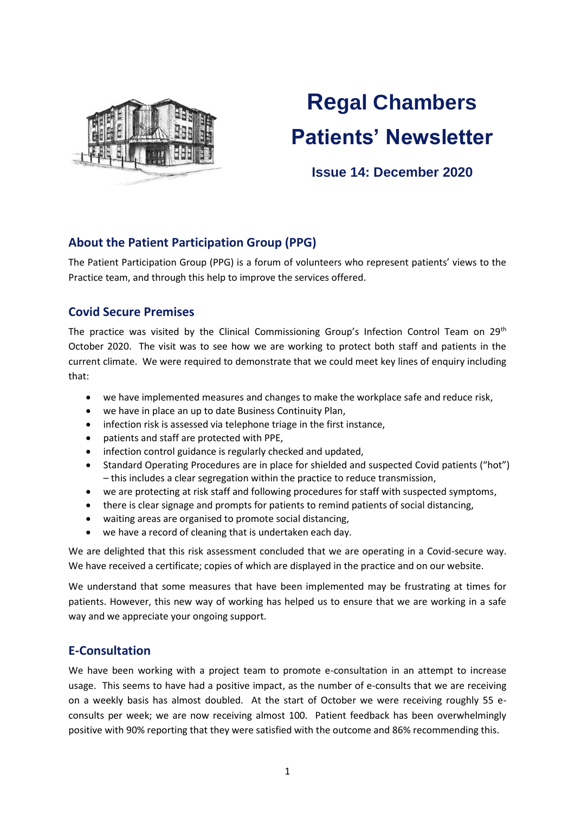

# **Regal Chambers Patients' Newsletter**

# **Issue 14: December 2020**

# **About the Patient Participation Group (PPG)**

The Patient Participation Group (PPG) is a forum of volunteers who represent patients' views to the Practice team, and through this help to improve the services offered.

# **Covid Secure Premises**

The practice was visited by the Clinical Commissioning Group's Infection Control Team on 29<sup>th</sup> October 2020. The visit was to see how we are working to protect both staff and patients in the current climate. We were required to demonstrate that we could meet key lines of enquiry including that:

- we have implemented measures and changes to make the workplace safe and reduce risk,
- we have in place an up to date Business Continuity Plan,
- infection risk is assessed via telephone triage in the first instance,
- patients and staff are protected with PPE,
- infection control guidance is regularly checked and updated,
- Standard Operating Procedures are in place for shielded and suspected Covid patients ("hot") – this includes a clear segregation within the practice to reduce transmission,
- we are protecting at risk staff and following procedures for staff with suspected symptoms,
- there is clear signage and prompts for patients to remind patients of social distancing,
- waiting areas are organised to promote social distancing,
- we have a record of cleaning that is undertaken each day.

We are delighted that this risk assessment concluded that we are operating in a Covid-secure way. We have received a certificate; copies of which are displayed in the practice and on our website.

We understand that some measures that have been implemented may be frustrating at times for patients. However, this new way of working has helped us to ensure that we are working in a safe way and we appreciate your ongoing support.

# **E-Consultation**

We have been working with a project team to promote e-consultation in an attempt to increase usage. This seems to have had a positive impact, as the number of e-consults that we are receiving on a weekly basis has almost doubled. At the start of October we were receiving roughly 55 econsults per week; we are now receiving almost 100. Patient feedback has been overwhelmingly positive with 90% reporting that they were satisfied with the outcome and 86% recommending this.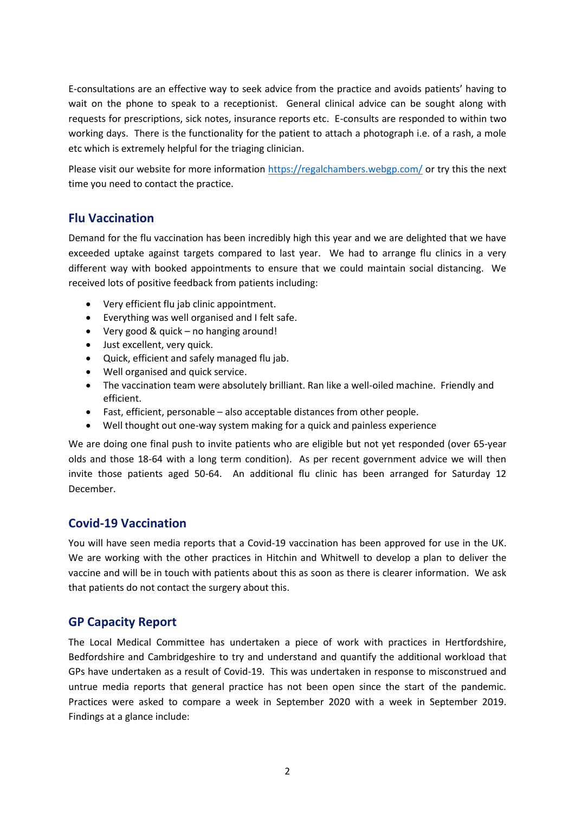E-consultations are an effective way to seek advice from the practice and avoids patients' having to wait on the phone to speak to a receptionist. General clinical advice can be sought along with requests for prescriptions, sick notes, insurance reports etc. E-consults are responded to within two working days. There is the functionality for the patient to attach a photograph i.e. of a rash, a mole etc which is extremely helpful for the triaging clinician.

Please visit our website for more information<https://regalchambers.webgp.com/> or try this the next time you need to contact the practice.

# **Flu Vaccination**

Demand for the flu vaccination has been incredibly high this year and we are delighted that we have exceeded uptake against targets compared to last year. We had to arrange flu clinics in a very different way with booked appointments to ensure that we could maintain social distancing. We received lots of positive feedback from patients including:

- Very efficient flu jab clinic appointment.
- Everything was well organised and I felt safe.
- Very good & quick no hanging around!
- Just excellent, very quick.
- Quick, efficient and safely managed flu jab.
- Well organised and quick service.
- The vaccination team were absolutely brilliant. Ran like a well-oiled machine. Friendly and efficient.
- Fast, efficient, personable also acceptable distances from other people.
- Well thought out one-way system making for a quick and painless experience

We are doing one final push to invite patients who are eligible but not yet responded (over 65-year olds and those 18-64 with a long term condition). As per recent government advice we will then invite those patients aged 50-64. An additional flu clinic has been arranged for Saturday 12 December.

# **Covid-19 Vaccination**

You will have seen media reports that a Covid-19 vaccination has been approved for use in the UK. We are working with the other practices in Hitchin and Whitwell to develop a plan to deliver the vaccine and will be in touch with patients about this as soon as there is clearer information. We ask that patients do not contact the surgery about this.

# **GP Capacity Report**

The Local Medical Committee has undertaken a piece of work with practices in Hertfordshire, Bedfordshire and Cambridgeshire to try and understand and quantify the additional workload that GPs have undertaken as a result of Covid-19. This was undertaken in response to misconstrued and untrue media reports that general practice has not been open since the start of the pandemic. Practices were asked to compare a week in September 2020 with a week in September 2019. Findings at a glance include: